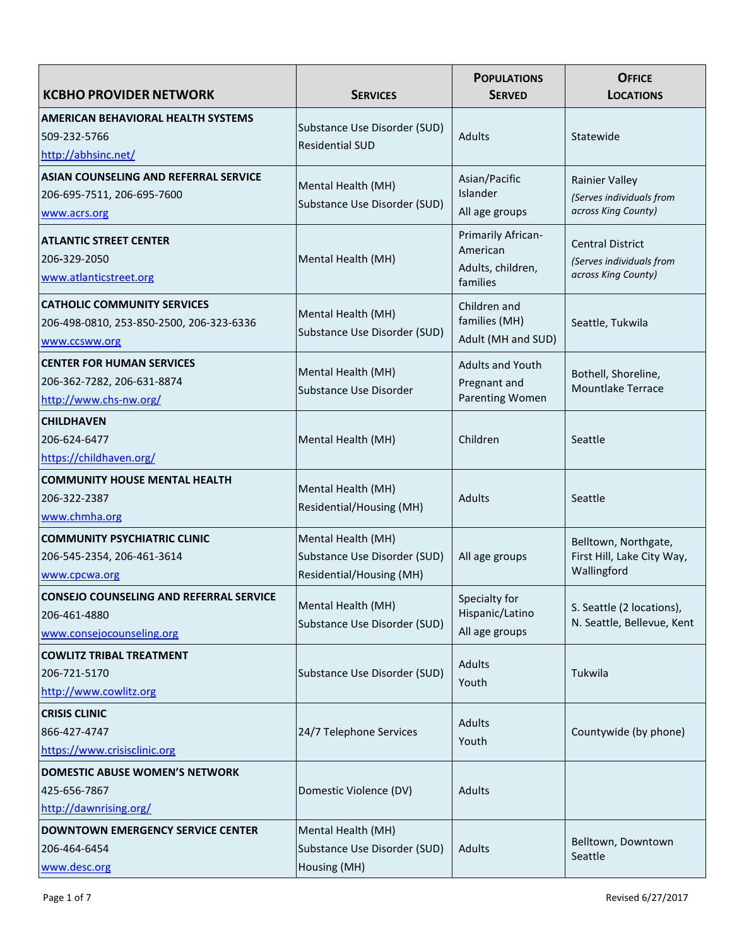| <b>KCBHO PROVIDER NETWORK</b>                                                                   | <b>SERVICES</b>                                                                       | <b>POPULATIONS</b><br><b>SERVED</b>                             | <b>OFFICE</b><br><b>LOCATIONS</b>                                          |
|-------------------------------------------------------------------------------------------------|---------------------------------------------------------------------------------------|-----------------------------------------------------------------|----------------------------------------------------------------------------|
| <b>AMERICAN BEHAVIORAL HEALTH SYSTEMS</b><br>509-232-5766<br>http://abhsinc.net/                | Substance Use Disorder (SUD)<br><b>Residential SUD</b>                                | Adults                                                          | Statewide                                                                  |
| ASIAN COUNSELING AND REFERRAL SERVICE<br>206-695-7511, 206-695-7600<br>www.acrs.org             | Mental Health (MH)<br>Substance Use Disorder (SUD)                                    | Asian/Pacific<br>Islander<br>All age groups                     | <b>Rainier Valley</b><br>(Serves individuals from<br>across King County)   |
| <b>ATLANTIC STREET CENTER</b><br>206-329-2050<br>www.atlanticstreet.org                         | Mental Health (MH)                                                                    | Primarily African-<br>American<br>Adults, children,<br>families | <b>Central District</b><br>(Serves individuals from<br>across King County) |
| <b>CATHOLIC COMMUNITY SERVICES</b><br>206-498-0810, 253-850-2500, 206-323-6336<br>www.ccsww.org | Mental Health (MH)<br>Substance Use Disorder (SUD)                                    | Children and<br>families (MH)<br>Adult (MH and SUD)             | Seattle, Tukwila                                                           |
| <b>CENTER FOR HUMAN SERVICES</b><br>206-362-7282, 206-631-8874<br>http://www.chs-nw.org/        | Mental Health (MH)<br>Substance Use Disorder                                          | <b>Adults and Youth</b><br>Pregnant and<br>Parenting Women      | Bothell, Shoreline,<br><b>Mountlake Terrace</b>                            |
| <b>CHILDHAVEN</b><br>206-624-6477<br>https://childhaven.org/                                    | Mental Health (MH)                                                                    | Children                                                        | Seattle                                                                    |
| <b>COMMUNITY HOUSE MENTAL HEALTH</b><br>206-322-2387<br>www.chmha.org                           | Mental Health (MH)<br><b>Residential/Housing (MH)</b>                                 | Adults                                                          | Seattle                                                                    |
| <b>COMMUNITY PSYCHIATRIC CLINIC</b><br>206-545-2354, 206-461-3614<br>www.cpcwa.org              | Mental Health (MH)<br>Substance Use Disorder (SUD)<br><b>Residential/Housing (MH)</b> | All age groups                                                  | Belltown, Northgate,<br>First Hill, Lake City Way,<br>Wallingford          |
| <b>CONSEJO COUNSELING AND REFERRAL SERVICE</b><br>206-461-4880<br>www.consejocounseling.org     | Mental Health (MH)<br>Substance Use Disorder (SUD)                                    | Specialty for<br>Hispanic/Latino<br>All age groups              | S. Seattle (2 locations),<br>N. Seattle, Bellevue, Kent                    |
| <b>COWLITZ TRIBAL TREATMENT</b><br>206-721-5170<br>http://www.cowlitz.org                       | Substance Use Disorder (SUD)                                                          | Adults<br>Youth                                                 | Tukwila                                                                    |
| <b>CRISIS CLINIC</b><br>866-427-4747<br>https://www.crisisclinic.org                            | 24/7 Telephone Services                                                               | Adults<br>Youth                                                 | Countywide (by phone)                                                      |
| <b>DOMESTIC ABUSE WOMEN'S NETWORK</b><br>425-656-7867<br>http://dawnrising.org/                 | Domestic Violence (DV)                                                                | Adults                                                          |                                                                            |
| <b>DOWNTOWN EMERGENCY SERVICE CENTER</b><br>206-464-6454<br>www.desc.org                        | Mental Health (MH)<br>Substance Use Disorder (SUD)<br>Housing (MH)                    | Adults                                                          | Belltown, Downtown<br>Seattle                                              |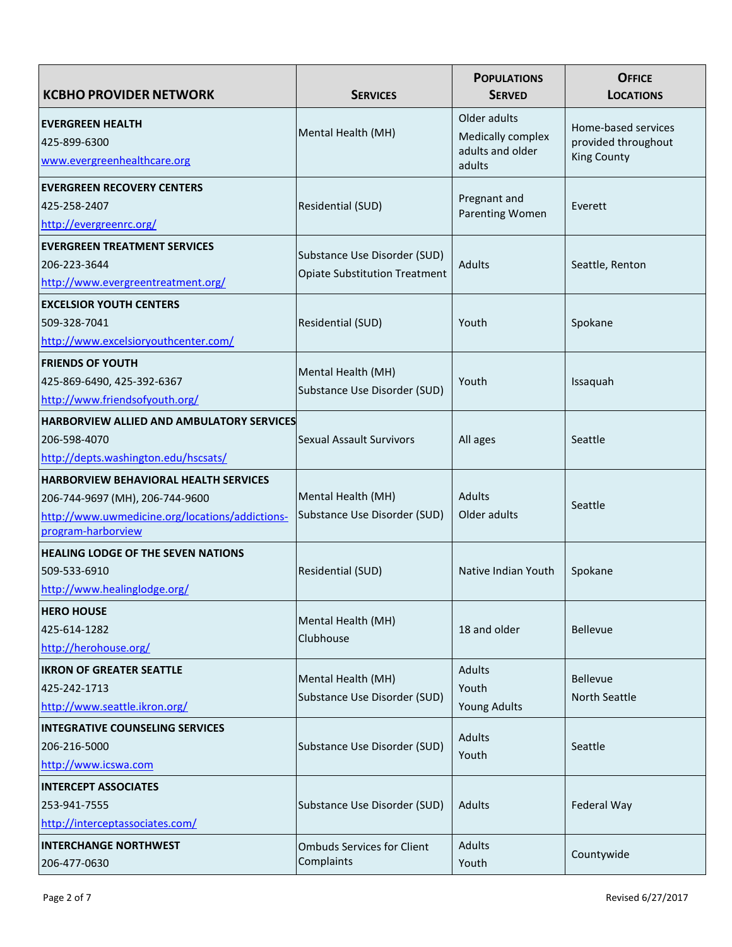| <b>KCBHO PROVIDER NETWORK</b>                                                                                                                            | <b>SERVICES</b>                                                      | <b>POPULATIONS</b><br><b>SERVED</b>                             | <b>OFFICE</b><br><b>LOCATIONS</b>                                |
|----------------------------------------------------------------------------------------------------------------------------------------------------------|----------------------------------------------------------------------|-----------------------------------------------------------------|------------------------------------------------------------------|
| <b>EVERGREEN HEALTH</b><br>425-899-6300<br>www.evergreenhealthcare.org                                                                                   | Mental Health (MH)                                                   | Older adults<br>Medically complex<br>adults and older<br>adults | Home-based services<br>provided throughout<br><b>King County</b> |
| <b>EVERGREEN RECOVERY CENTERS</b><br>425-258-2407<br>http://evergreenrc.org/                                                                             | Residential (SUD)                                                    | Pregnant and<br>Parenting Women                                 | Everett                                                          |
| <b>EVERGREEN TREATMENT SERVICES</b><br>206-223-3644<br>http://www.evergreentreatment.org/                                                                | Substance Use Disorder (SUD)<br><b>Opiate Substitution Treatment</b> | Adults                                                          | Seattle, Renton                                                  |
| <b>EXCELSIOR YOUTH CENTERS</b><br>509-328-7041<br>http://www.excelsioryouthcenter.com/                                                                   | Residential (SUD)                                                    | Youth                                                           | Spokane                                                          |
| <b>FRIENDS OF YOUTH</b><br>425-869-6490, 425-392-6367<br>http://www.friendsofyouth.org/                                                                  | Mental Health (MH)<br>Substance Use Disorder (SUD)                   | Youth                                                           | Issaquah                                                         |
| <b>HARBORVIEW ALLIED AND AMBULATORY SERVICES</b><br>206-598-4070<br>http://depts.washington.edu/hscsats/                                                 | <b>Sexual Assault Survivors</b>                                      | All ages                                                        | Seattle                                                          |
| <b>HARBORVIEW BEHAVIORAL HEALTH SERVICES</b><br>206-744-9697 (MH), 206-744-9600<br>http://www.uwmedicine.org/locations/addictions-<br>program-harborview | Mental Health (MH)<br>Substance Use Disorder (SUD)                   | Adults<br>Older adults                                          | Seattle                                                          |
| <b>HEALING LODGE OF THE SEVEN NATIONS</b><br>509-533-6910<br>http://www.healinglodge.org/                                                                | Residential (SUD)                                                    | Native Indian Youth                                             | Spokane                                                          |
| <b>HERO HOUSE</b><br>425-614-1282<br>http://herohouse.org/                                                                                               | Mental Health (MH)<br>Clubhouse                                      | 18 and older                                                    | <b>Bellevue</b>                                                  |
| <b>IKRON OF GREATER SEATTLE</b><br>425-242-1713<br>http://www.seattle.ikron.org/                                                                         | Mental Health (MH)<br>Substance Use Disorder (SUD)                   | Adults<br>Youth<br><b>Young Adults</b>                          | Bellevue<br>North Seattle                                        |
| <b>INTEGRATIVE COUNSELING SERVICES</b><br>206-216-5000<br>http://www.icswa.com                                                                           | Substance Use Disorder (SUD)                                         | Adults<br>Youth                                                 | Seattle                                                          |
| <b>INTERCEPT ASSOCIATES</b><br>253-941-7555<br>http://interceptassociates.com/                                                                           | Substance Use Disorder (SUD)                                         | Adults                                                          | Federal Way                                                      |
| <b>INTERCHANGE NORTHWEST</b><br>206-477-0630                                                                                                             | <b>Ombuds Services for Client</b><br>Complaints                      | Adults<br>Youth                                                 | Countywide                                                       |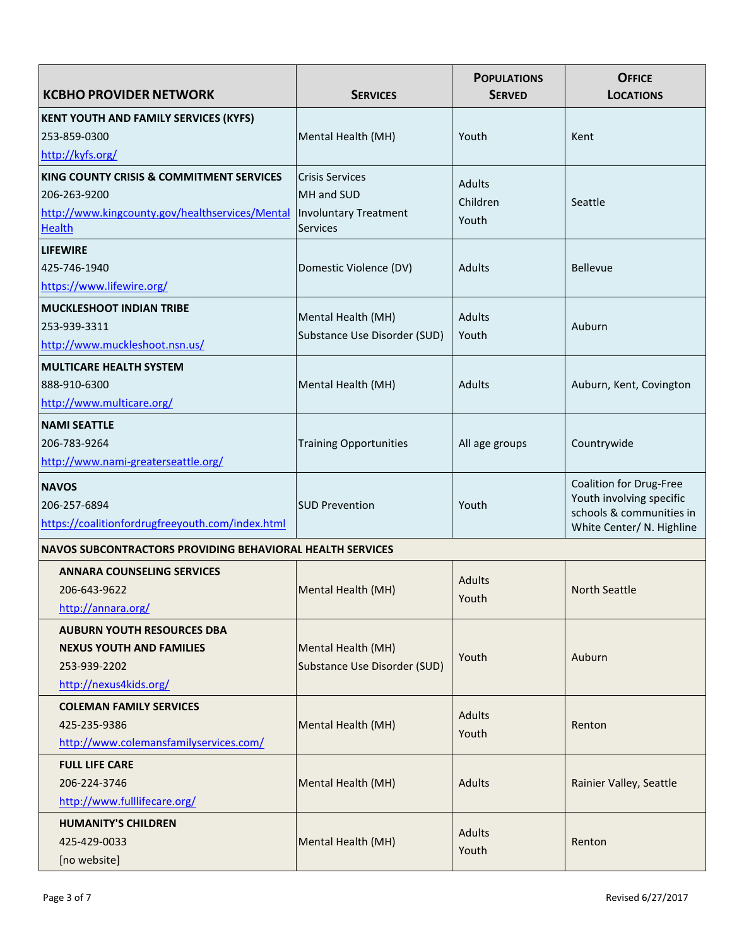| <b>KCBHO PROVIDER NETWORK</b>                                    | <b>SERVICES</b>               | <b>POPULATIONS</b><br><b>SERVED</b> | <b>OFFICE</b><br><b>LOCATIONS</b>                    |
|------------------------------------------------------------------|-------------------------------|-------------------------------------|------------------------------------------------------|
| KENT YOUTH AND FAMILY SERVICES (KYFS)                            |                               |                                     |                                                      |
| 253-859-0300                                                     | Mental Health (MH)            | Youth                               | Kent                                                 |
| http://kyfs.org/                                                 |                               |                                     |                                                      |
| KING COUNTY CRISIS & COMMITMENT SERVICES                         | <b>Crisis Services</b>        | Adults                              |                                                      |
| 206-263-9200                                                     | MH and SUD                    | Children                            | Seattle                                              |
| http://www.kingcounty.gov/healthservices/Mental                  | Involuntary Treatment         | Youth                               |                                                      |
| <b>Health</b>                                                    | Services                      |                                     |                                                      |
| <b>LIFEWIRE</b>                                                  |                               |                                     |                                                      |
| 425-746-1940                                                     | Domestic Violence (DV)        | Adults                              | <b>Bellevue</b>                                      |
| https://www.lifewire.org/                                        |                               |                                     |                                                      |
| <b>MUCKLESHOOT INDIAN TRIBE</b>                                  | Mental Health (MH)            | Adults                              |                                                      |
| 253-939-3311                                                     | Substance Use Disorder (SUD)  | Youth                               | Auburn                                               |
| http://www.muckleshoot.nsn.us/                                   |                               |                                     |                                                      |
| <b>MULTICARE HEALTH SYSTEM</b>                                   |                               |                                     |                                                      |
| 888-910-6300                                                     | Mental Health (MH)            | Adults                              | Auburn, Kent, Covington                              |
| http://www.multicare.org/                                        |                               |                                     |                                                      |
| <b>NAMI SEATTLE</b>                                              |                               |                                     |                                                      |
| 206-783-9264                                                     | <b>Training Opportunities</b> | All age groups                      | Countrywide                                          |
| http://www.nami-greaterseattle.org/                              |                               |                                     |                                                      |
| <b>NAVOS</b>                                                     |                               |                                     | Coalition for Drug-Free                              |
| 206-257-6894                                                     | <b>SUD Prevention</b>         | Youth                               | Youth involving specific<br>schools & communities in |
| https://coalitionfordrugfreeyouth.com/index.html                 |                               |                                     | White Center/ N. Highline                            |
| <b>NAVOS SUBCONTRACTORS PROVIDING BEHAVIORAL HEALTH SERVICES</b> |                               |                                     |                                                      |
| <b>ANNARA COUNSELING SERVICES</b>                                |                               |                                     |                                                      |
| 206-643-9622                                                     | Mental Health (MH)            | <b>Adults</b><br>Youth              | North Seattle                                        |
| http://annara.org/                                               |                               |                                     |                                                      |
| <b>AUBURN YOUTH RESOURCES DBA</b>                                |                               |                                     |                                                      |
| <b>NEXUS YOUTH AND FAMILIES</b>                                  | Mental Health (MH)            | Youth                               | Auburn                                               |
| 253-939-2202                                                     | Substance Use Disorder (SUD)  |                                     |                                                      |
| http://nexus4kids.org/                                           |                               |                                     |                                                      |
| <b>COLEMAN FAMILY SERVICES</b>                                   |                               | Adults                              |                                                      |
| 425-235-9386                                                     | Mental Health (MH)            | Youth                               | Renton                                               |
| http://www.colemansfamilyservices.com/                           |                               |                                     |                                                      |
| <b>FULL LIFE CARE</b>                                            |                               |                                     |                                                      |
| 206-224-3746                                                     | Mental Health (MH)            | <b>Adults</b>                       | Rainier Valley, Seattle                              |
| http://www.fulllifecare.org/                                     |                               |                                     |                                                      |
| <b>HUMANITY'S CHILDREN</b>                                       |                               | Adults                              |                                                      |
| 425-429-0033                                                     | Mental Health (MH)            | Youth                               | Renton                                               |
| [no website]                                                     |                               |                                     |                                                      |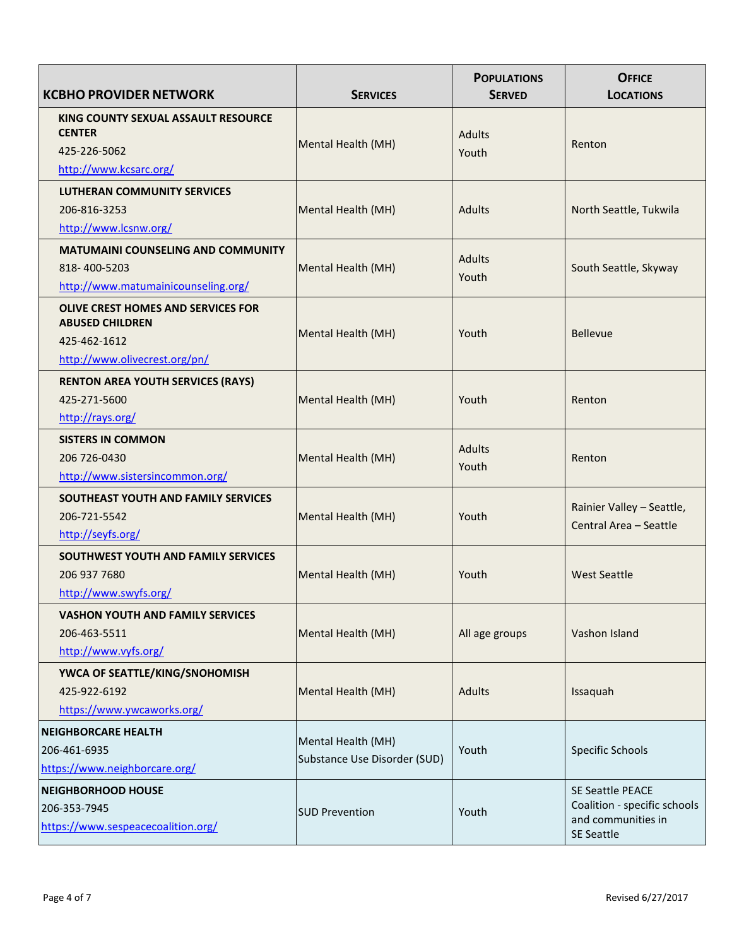| <b>KCBHO PROVIDER NETWORK</b>                                                                                        | <b>SERVICES</b>              | <b>POPULATIONS</b><br><b>SERVED</b> | <b>OFFICE</b><br><b>LOCATIONS</b>       |
|----------------------------------------------------------------------------------------------------------------------|------------------------------|-------------------------------------|-----------------------------------------|
| KING COUNTY SEXUAL ASSAULT RESOURCE<br><b>CENTER</b><br>425-226-5062                                                 | Mental Health (MH)           | <b>Adults</b><br>Youth              | Renton                                  |
| http://www.kcsarc.org/                                                                                               |                              |                                     |                                         |
| <b>LUTHERAN COMMUNITY SERVICES</b>                                                                                   |                              |                                     |                                         |
| 206-816-3253                                                                                                         | Mental Health (MH)           | <b>Adults</b>                       | North Seattle, Tukwila                  |
| http://www.lcsnw.org/                                                                                                |                              |                                     |                                         |
| <b>MATUMAINI COUNSELING AND COMMUNITY</b>                                                                            |                              |                                     |                                         |
| 818-400-5203                                                                                                         | Mental Health (MH)           | <b>Adults</b>                       | South Seattle, Skyway                   |
| http://www.matumainicounseling.org/                                                                                  |                              | Youth                               |                                         |
| <b>OLIVE CREST HOMES AND SERVICES FOR</b><br><b>ABUSED CHILDREN</b><br>425-462-1612<br>http://www.olivecrest.org/pn/ | Mental Health (MH)           | Youth                               | Bellevue                                |
| <b>RENTON AREA YOUTH SERVICES (RAYS)</b>                                                                             |                              |                                     |                                         |
| 425-271-5600                                                                                                         | Mental Health (MH)           | Youth                               | Renton                                  |
| http://rays.org/                                                                                                     |                              |                                     |                                         |
| <b>SISTERS IN COMMON</b>                                                                                             |                              |                                     |                                         |
| 206 726-0430                                                                                                         | Mental Health (MH)           | <b>Adults</b>                       | Renton                                  |
| http://www.sistersincommon.org/                                                                                      |                              | Youth                               |                                         |
| SOUTHEAST YOUTH AND FAMILY SERVICES                                                                                  |                              |                                     |                                         |
| 206-721-5542                                                                                                         | Mental Health (MH)           | Youth                               | Rainier Valley - Seattle,               |
| http://seyfs.org/                                                                                                    |                              |                                     | Central Area - Seattle                  |
| SOUTHWEST YOUTH AND FAMILY SERVICES                                                                                  |                              |                                     |                                         |
| 206 937 7680                                                                                                         | Mental Health (MH)           | Youth                               | <b>West Seattle</b>                     |
| http://www.swyfs.org/                                                                                                |                              |                                     |                                         |
| <b>VASHON YOUTH AND FAMILY SERVICES</b>                                                                              |                              |                                     |                                         |
| 206-463-5511                                                                                                         | Mental Health (MH)           | All age groups                      | Vashon Island                           |
| http://www.vyfs.org/                                                                                                 |                              |                                     |                                         |
| YWCA OF SEATTLE/KING/SNOHOMISH                                                                                       |                              |                                     |                                         |
| 425-922-6192                                                                                                         | Mental Health (MH)           | <b>Adults</b>                       | Issaquah                                |
| https://www.ywcaworks.org/                                                                                           |                              |                                     |                                         |
| <b>NEIGHBORCARE HEALTH</b>                                                                                           |                              |                                     |                                         |
| 206-461-6935                                                                                                         | Mental Health (MH)           | Youth                               | Specific Schools                        |
| https://www.neighborcare.org/                                                                                        | Substance Use Disorder (SUD) |                                     |                                         |
| <b>NEIGHBORHOOD HOUSE</b>                                                                                            |                              |                                     | <b>SE Seattle PEACE</b>                 |
| 206-353-7945                                                                                                         |                              |                                     | Coalition - specific schools            |
| https://www.sespeacecoalition.org/                                                                                   | <b>SUD Prevention</b>        | Youth                               | and communities in<br><b>SE Seattle</b> |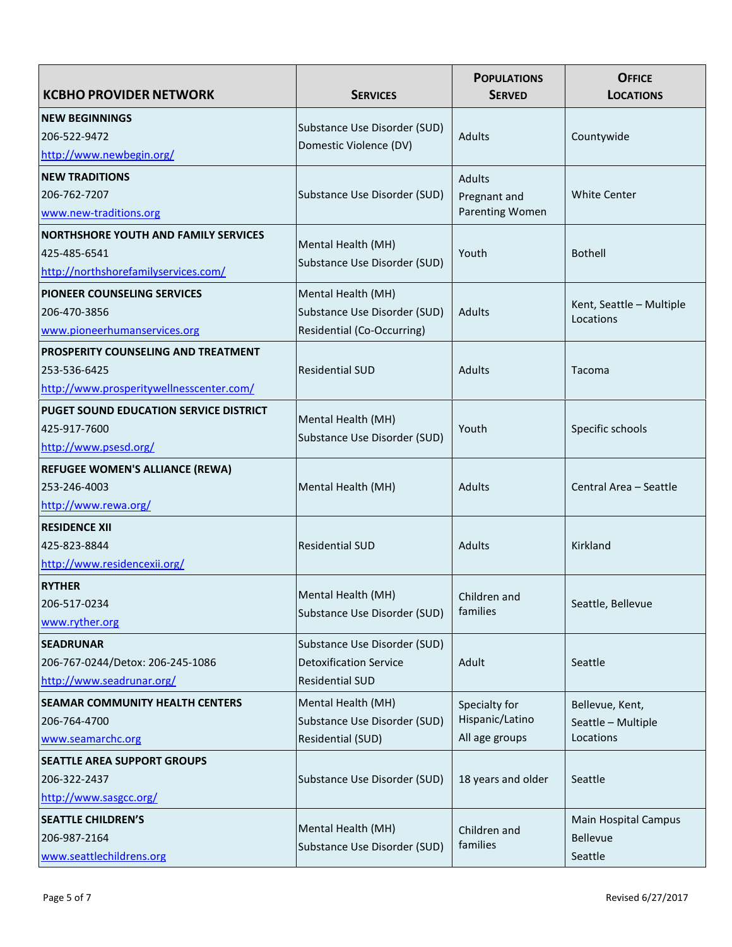| <b>KCBHO PROVIDER NETWORK</b>                 | <b>SERVICES</b>                                    | <b>POPULATIONS</b><br><b>SERVED</b> | <b>OFFICE</b><br><b>LOCATIONS</b>     |
|-----------------------------------------------|----------------------------------------------------|-------------------------------------|---------------------------------------|
| <b>NEW BEGINNINGS</b>                         |                                                    |                                     |                                       |
| 206-522-9472                                  | Substance Use Disorder (SUD)                       | Adults                              | Countywide                            |
| http://www.newbegin.org/                      | Domestic Violence (DV)                             |                                     |                                       |
| <b>NEW TRADITIONS</b>                         |                                                    | Adults                              |                                       |
| 206-762-7207                                  | Substance Use Disorder (SUD)                       | Pregnant and                        | <b>White Center</b>                   |
| www.new-traditions.org                        |                                                    | Parenting Women                     |                                       |
| <b>NORTHSHORE YOUTH AND FAMILY SERVICES</b>   |                                                    |                                     |                                       |
| 425-485-6541                                  | Mental Health (MH)<br>Substance Use Disorder (SUD) | Youth                               | <b>Bothell</b>                        |
| http://northshorefamilyservices.com/          |                                                    |                                     |                                       |
| PIONEER COUNSELING SERVICES                   | Mental Health (MH)                                 |                                     |                                       |
| 206-470-3856                                  | Substance Use Disorder (SUD)                       | <b>Adults</b>                       | Kent, Seattle - Multiple<br>Locations |
| www.pioneerhumanservices.org                  | Residential (Co-Occurring)                         |                                     |                                       |
| PROSPERITY COUNSELING AND TREATMENT           |                                                    |                                     |                                       |
| 253-536-6425                                  | <b>Residential SUD</b>                             | Adults                              | Tacoma                                |
| http://www.prosperitywellnesscenter.com/      |                                                    |                                     |                                       |
| <b>PUGET SOUND EDUCATION SERVICE DISTRICT</b> | Mental Health (MH)                                 |                                     |                                       |
| 425-917-7600                                  | Substance Use Disorder (SUD)                       | Youth                               | Specific schools                      |
| http://www.psesd.org/                         |                                                    |                                     |                                       |
| <b>REFUGEE WOMEN'S ALLIANCE (REWA)</b>        |                                                    |                                     |                                       |
| 253-246-4003                                  | Mental Health (MH)                                 | Adults                              | Central Area - Seattle                |
| http://www.rewa.org/                          |                                                    |                                     |                                       |
| <b>RESIDENCE XII</b>                          |                                                    |                                     |                                       |
| 425-823-8844                                  | <b>Residential SUD</b>                             | Adults                              | Kirkland                              |
| http://www.residencexii.org/                  |                                                    |                                     |                                       |
| <b>RYTHER</b>                                 | Mental Health (MH)                                 | Children and                        |                                       |
| 206-517-0234                                  | Substance Use Disorder (SUD)                       | families                            | Seattle, Bellevue                     |
| www.ryther.org                                |                                                    |                                     |                                       |
| <b>SEADRUNAR</b>                              | Substance Use Disorder (SUD)                       |                                     |                                       |
| 206-767-0244/Detox: 206-245-1086              | <b>Detoxification Service</b>                      | Adult                               | Seattle                               |
| http://www.seadrunar.org/                     | <b>Residential SUD</b>                             |                                     |                                       |
| SEAMAR COMMUNITY HEALTH CENTERS               | Mental Health (MH)                                 | Specialty for                       | Bellevue, Kent,                       |
| 206-764-4700                                  | Substance Use Disorder (SUD)                       | Hispanic/Latino                     | Seattle - Multiple                    |
| www.seamarchc.org                             | Residential (SUD)                                  | All age groups                      | Locations                             |
| <b>SEATTLE AREA SUPPORT GROUPS</b>            |                                                    |                                     |                                       |
| 206-322-2437                                  | Substance Use Disorder (SUD)                       | 18 years and older                  | Seattle                               |
| http://www.sasgcc.org/                        |                                                    |                                     |                                       |
| <b>SEATTLE CHILDREN'S</b>                     | Mental Health (MH)                                 | Children and                        | <b>Main Hospital Campus</b>           |
| 206-987-2164                                  | Substance Use Disorder (SUD)                       | families                            | Bellevue                              |
| www.seattlechildrens.org                      |                                                    |                                     | Seattle                               |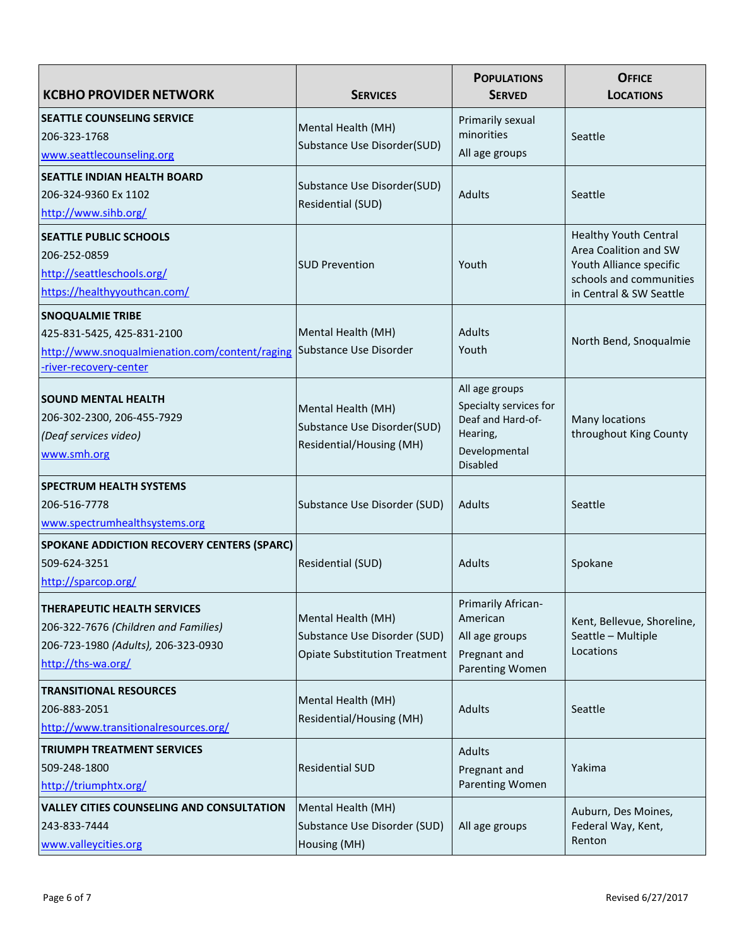| <b>KCBHO PROVIDER NETWORK</b>                                                                                                           | <b>SERVICES</b>                                                                            | <b>POPULATIONS</b><br><b>SERVED</b>                                                                           | <b>OFFICE</b><br><b>LOCATIONS</b>                                                                                                      |
|-----------------------------------------------------------------------------------------------------------------------------------------|--------------------------------------------------------------------------------------------|---------------------------------------------------------------------------------------------------------------|----------------------------------------------------------------------------------------------------------------------------------------|
| <b>SEATTLE COUNSELING SERVICE</b><br>206-323-1768<br>www.seattlecounseling.org                                                          | Mental Health (MH)<br>Substance Use Disorder(SUD)                                          | Primarily sexual<br>minorities<br>All age groups                                                              | Seattle                                                                                                                                |
| <b>SEATTLE INDIAN HEALTH BOARD</b><br>206-324-9360 Ex 1102<br>http://www.sihb.org/                                                      | Substance Use Disorder(SUD)<br>Residential (SUD)                                           | <b>Adults</b>                                                                                                 | Seattle                                                                                                                                |
| <b>SEATTLE PUBLIC SCHOOLS</b><br>206-252-0859<br>http://seattleschools.org/<br>https://healthyyouthcan.com/                             | <b>SUD Prevention</b>                                                                      | Youth                                                                                                         | <b>Healthy Youth Central</b><br>Area Coalition and SW<br>Youth Alliance specific<br>schools and communities<br>in Central & SW Seattle |
| <b>SNOQUALMIE TRIBE</b><br>425-831-5425, 425-831-2100<br>http://www.snoqualmienation.com/content/raging<br>-river-recovery-center       | Mental Health (MH)<br>Substance Use Disorder                                               | <b>Adults</b><br>Youth                                                                                        | North Bend, Snoqualmie                                                                                                                 |
| <b>SOUND MENTAL HEALTH</b><br>206-302-2300, 206-455-7929<br>(Deaf services video)<br>www.smh.org                                        | Mental Health (MH)<br>Substance Use Disorder(SUD)<br>Residential/Housing (MH)              | All age groups<br>Specialty services for<br>Deaf and Hard-of-<br>Hearing,<br>Developmental<br><b>Disabled</b> | Many locations<br>throughout King County                                                                                               |
| <b>SPECTRUM HEALTH SYSTEMS</b><br>206-516-7778<br>www.spectrumhealthsystems.org                                                         | Substance Use Disorder (SUD)                                                               | Adults                                                                                                        | Seattle                                                                                                                                |
| <b>SPOKANE ADDICTION RECOVERY CENTERS (SPARC)</b><br>509-624-3251<br>http://sparcop.org/                                                | Residential (SUD)                                                                          | Adults                                                                                                        | Spokane                                                                                                                                |
| <b>THERAPEUTIC HEALTH SERVICES</b><br>206-322-7676 (Children and Families)<br>206-723-1980 (Adults), 206-323-0930<br>http://ths-wa.org/ | Mental Health (MH)<br>Substance Use Disorder (SUD)<br><b>Opiate Substitution Treatment</b> | Primarily African-<br>American<br>All age groups<br>Pregnant and<br>Parenting Women                           | Kent, Bellevue, Shoreline,<br>Seattle - Multiple<br>Locations                                                                          |
| <b>TRANSITIONAL RESOURCES</b><br>206-883-2051<br>http://www.transitionalresources.org/                                                  | Mental Health (MH)<br>Residential/Housing (MH)                                             | Adults                                                                                                        | Seattle                                                                                                                                |
| <b>TRIUMPH TREATMENT SERVICES</b><br>509-248-1800<br>http://triumphtx.org/                                                              | <b>Residential SUD</b>                                                                     | Adults<br>Pregnant and<br>Parenting Women                                                                     | Yakima                                                                                                                                 |
| <b>VALLEY CITIES COUNSELING AND CONSULTATION</b><br>243-833-7444<br>www.valleycities.org                                                | Mental Health (MH)<br>Substance Use Disorder (SUD)<br>Housing (MH)                         | All age groups                                                                                                | Auburn, Des Moines,<br>Federal Way, Kent,<br>Renton                                                                                    |